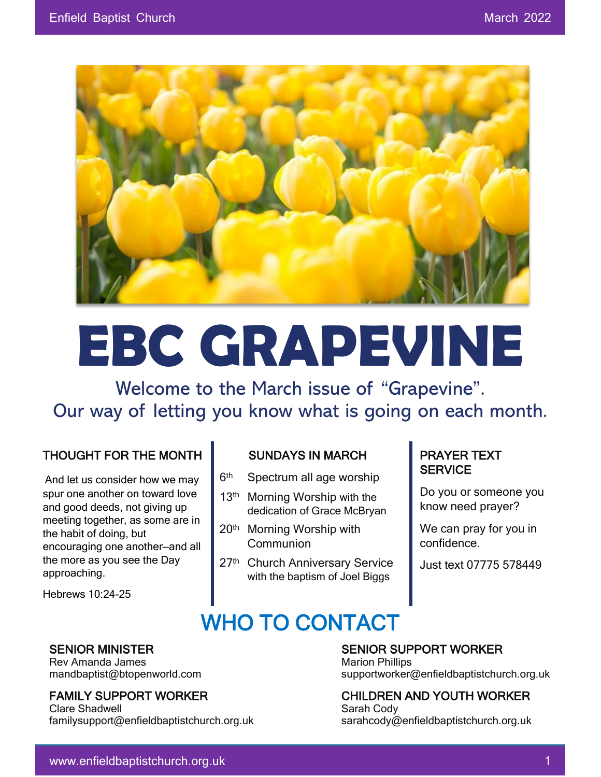

# **EBC GRAPEVINE**

Welcome to the March issue of "Grapevine". Our way of letting you know what is going on each month.

#### THOUGHT FOR THE MONTH

And let us consider how we may spur one another on toward love and good deeds, not giving up meeting together, as some are in the habit of doing, but encouraging one another—and all the more as you see the Day approaching.

Hebrews 10:24-25

Rev Amanda James Marion Phillips New Amanda James Marion Phillips

Clare Shadwell **Sarah Cody** Sarah Cody familysupport@enfieldbaptistchurch.org.uk sarahcody@enfieldbaptistchurch.org.uk

#### SUNDAYS IN MARCH

- $6<sup>th</sup>$ Spectrum all age worship
- 13<sup>th</sup> Morning Worship with the dedication of Grace McBryan
- 20th Morning Worship with Communion
- 27<sup>th</sup> Church Anniversary Service with the baptism of Joel Biggs

#### PRAYER TEXT **SERVICE**

Do you or someone you know need prayer?

We can pray for you in confidence.

Just text 07775 578449

## WHO TO CONTACT

#### SENIOR MINISTER SENIOR SUPPORT WORKER  $\overline{O}$

mandbaptist@btopenworld.com supportworker@enfieldbaptistchurch.org.uk

FAMILY SUPPORT WORKER CHILDREN AND YOUTH WORKER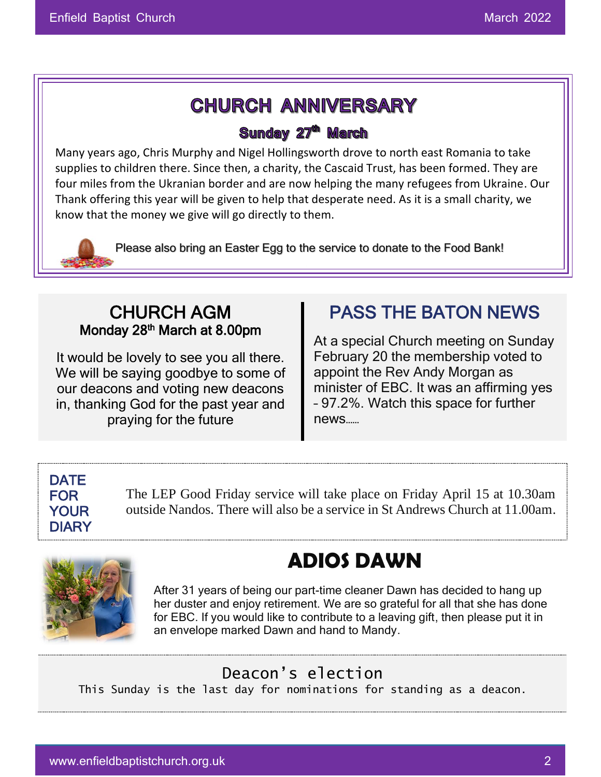### **CHURCH ANNIVERSARY**

#### Sunday 27<sup>th</sup> March

Many years ago, Chris Murphy and Nigel Hollingsworth drove to north east Romania to take supplies to children there. Since then, a charity, the Cascaid Trust, has been formed. They are four miles from the Ukranian border and are now helping the many refugees from Ukraine. Our Thank offering this year will be given to help that desperate need. As it is a small charity, we know that the money we give will go directly to them.

Please also bring an Easter Egg to the service to donate to the Food Bank!

#### CHURCH AGM Monday 28<sup>th</sup> March at 8.00pm

It would be lovely to see you all there. We will be saying goodbye to some of our deacons and voting new deacons in, thanking God for the past year and praying for the future

### PASS THE BATON NEWS

At a special Church meeting on Sunday February 20 the membership voted to appoint the Rev Andy Morgan as minister of EBC. It was an affirming yes – 97.2%. Watch this space for further news……

#### **DATE** FOR YOUR DIARY

 $\overline{a}$ 

The LEP Good Friday service will take place on Friday April 15 at 10.30am outside Nandos. There will also be a service in St Andrews Church at 11.00am.



# **ADIOS DAWN**

After 31 years of being our part-time cleaner Dawn has decided to hang up her duster and enjoy retirement. We are so grateful for all that she has done for EBC. If you would like to contribute to a leaving gift, then please put it in an envelope marked Dawn and hand to Mandy.

#### Deacon's election

This Sunday is the last day for nominations for standing as a deacon.